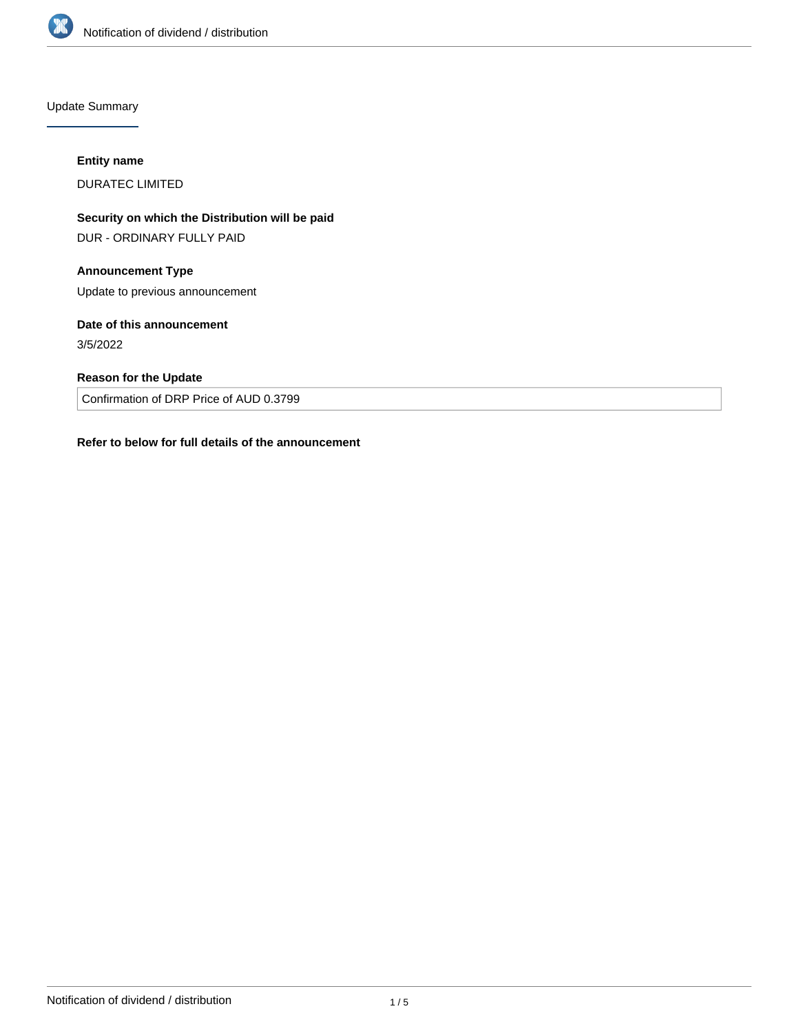

Update Summary

## **Entity name**

DURATEC LIMITED

**Security on which the Distribution will be paid** DUR - ORDINARY FULLY PAID

# **Announcement Type**

Update to previous announcement

# **Date of this announcement**

3/5/2022

## **Reason for the Update**

Confirmation of DRP Price of AUD 0.3799

## **Refer to below for full details of the announcement**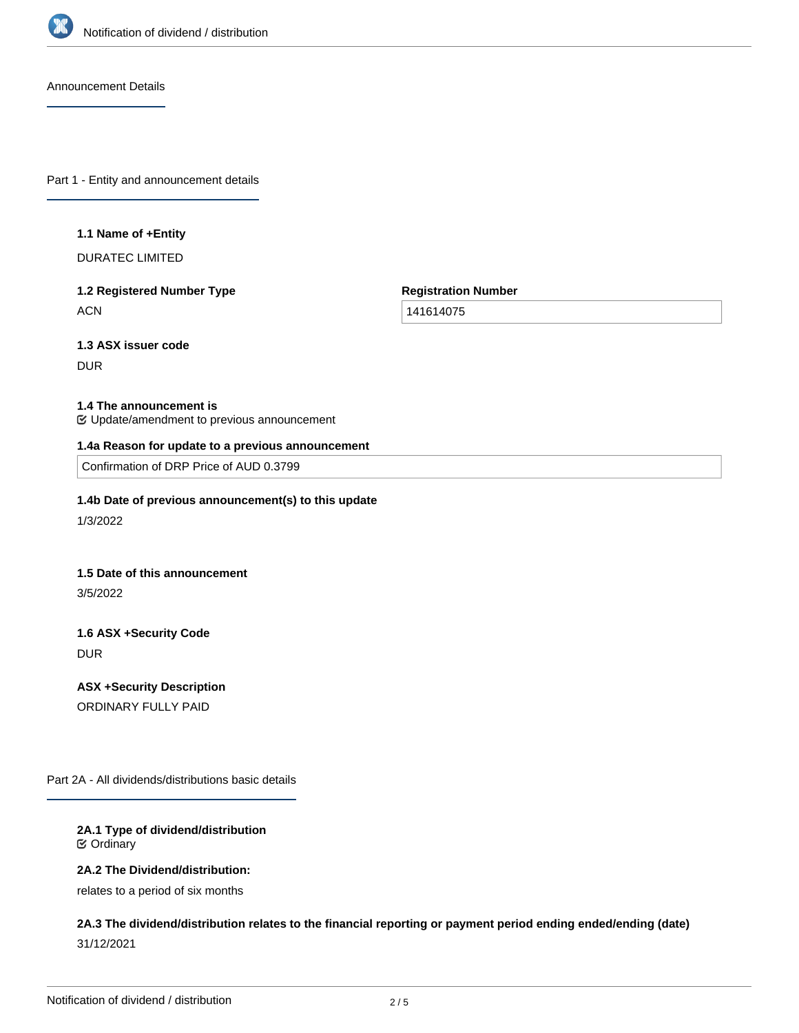

Announcement Details

Part 1 - Entity and announcement details

#### **1.1 Name of +Entity**

DURATEC LIMITED

## **1.2 Registered Number Type ACN**

**Registration Number**

141614075

# **1.3 ASX issuer code**

DUR

### **1.4 The announcement is**

Update/amendment to previous announcement

### **1.4a Reason for update to a previous announcement**

Confirmation of DRP Price of AUD 0.3799

## **1.4b Date of previous announcement(s) to this update**

1/3/2022

### **1.5 Date of this announcement**

3/5/2022

# **1.6 ASX +Security Code** DUR

**ASX +Security Description** ORDINARY FULLY PAID

Part 2A - All dividends/distributions basic details

### **2A.1 Type of dividend/distribution** Ordinary

### **2A.2 The Dividend/distribution:**

relates to a period of six months

# **2A.3 The dividend/distribution relates to the financial reporting or payment period ending ended/ending (date)** 31/12/2021

**2A.4 +Record Date**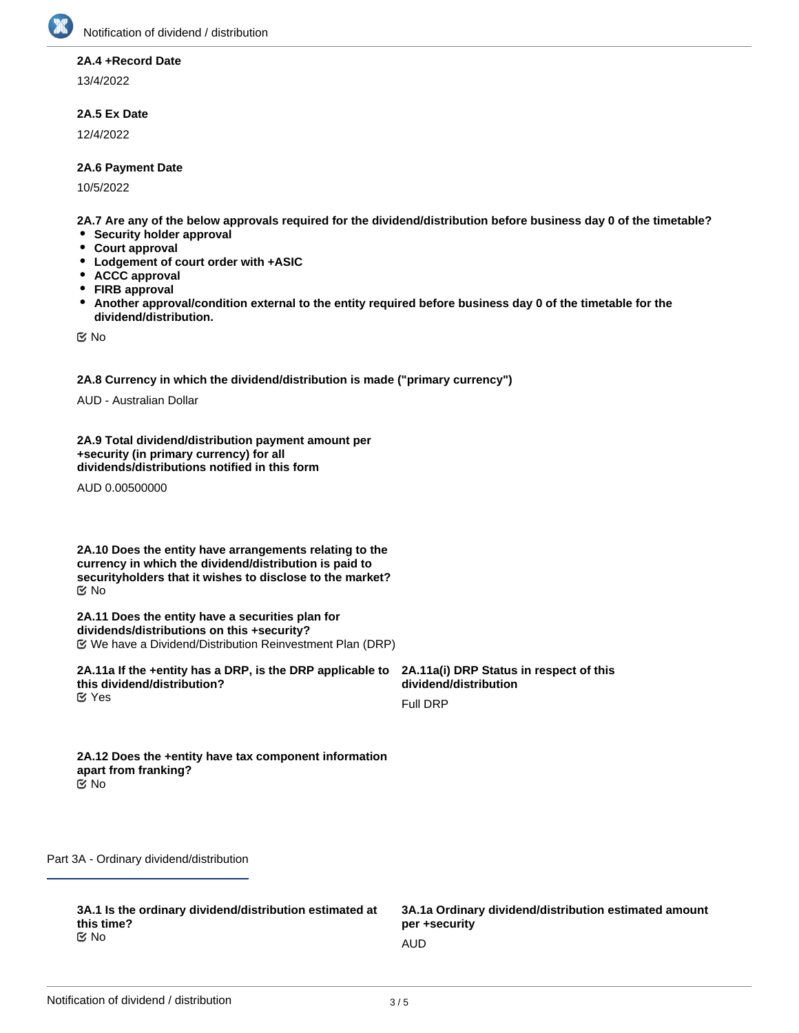

## **2A.4 +Record Date**

13/4/2022

## **2A.5 Ex Date**

12/4/2022

## **2A.6 Payment Date**

10/5/2022

**2A.7 Are any of the below approvals required for the dividend/distribution before business day 0 of the timetable?**

- **Security holder approval**
- **Court approval**
- **Lodgement of court order with +ASIC**
- **ACCC approval**
- **FIRB approval**
- $\bullet$ **Another approval/condition external to the entity required before business day 0 of the timetable for the dividend/distribution.**

No

**2A.8 Currency in which the dividend/distribution is made ("primary currency")**

AUD - Australian Dollar

**2A.9 Total dividend/distribution payment amount per +security (in primary currency) for all dividends/distributions notified in this form**

AUD 0.00500000

**2A.10 Does the entity have arrangements relating to the currency in which the dividend/distribution is paid to securityholders that it wishes to disclose to the market?** No

**2A.11 Does the entity have a securities plan for dividends/distributions on this +security?** We have a Dividend/Distribution Reinvestment Plan (DRP)

**2A.11a If the +entity has a DRP, is the DRP applicable to this dividend/distribution? K** Yes

**2A.11a(i) DRP Status in respect of this dividend/distribution**

Full DRP

**2A.12 Does the +entity have tax component information apart from franking?** No

Part 3A - Ordinary dividend/distribution

**3A.1 Is the ordinary dividend/distribution estimated at this time?** No and the contract of the contract of the contract of the contract of the contract of the contract of the contract of the contract of the contract of the contract of the contract of the contract of the contract of the con

**3A.1a Ordinary dividend/distribution estimated amount per +security**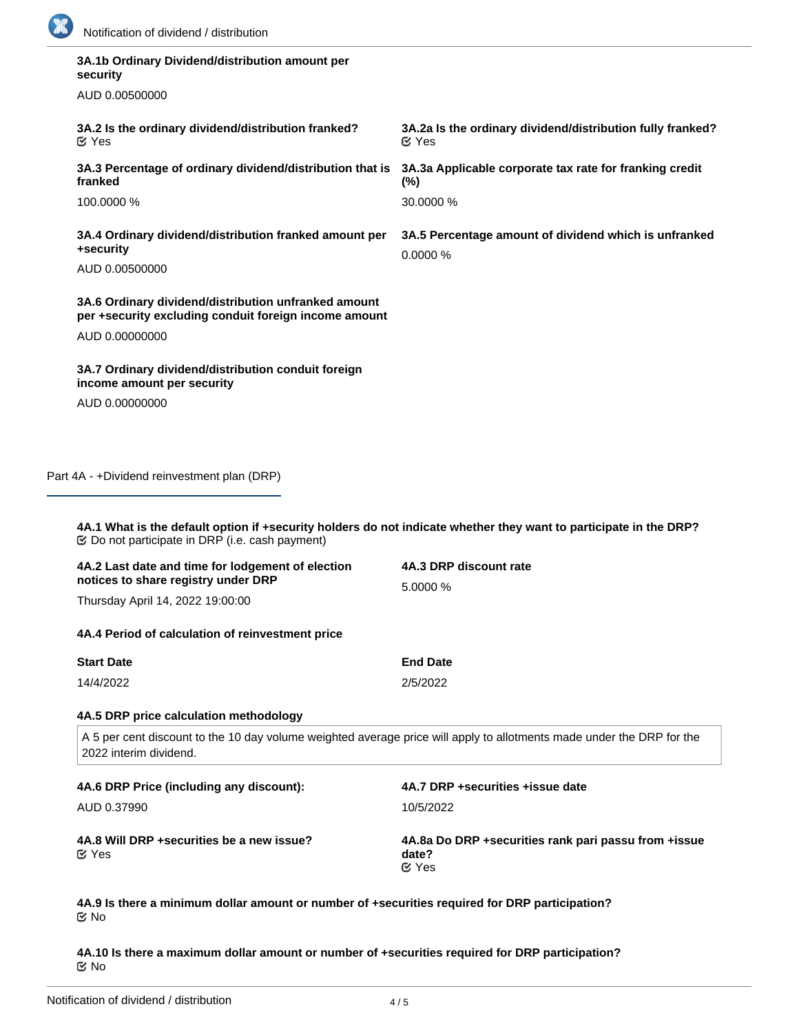

| 3A.1b Ordinary Dividend/distribution amount per<br>security                                                                                                                                                                 |                                                                            |  |
|-----------------------------------------------------------------------------------------------------------------------------------------------------------------------------------------------------------------------------|----------------------------------------------------------------------------|--|
| AUD 0.00500000                                                                                                                                                                                                              |                                                                            |  |
| 3A.2 Is the ordinary dividend/distribution franked?<br>$\mathfrak{C}$ Yes                                                                                                                                                   | 3A.2a Is the ordinary dividend/distribution fully franked?<br>$\alpha$ Yes |  |
| 3A.3 Percentage of ordinary dividend/distribution that is<br>franked                                                                                                                                                        | 3A.3a Applicable corporate tax rate for franking credit<br>$(\%)$          |  |
| 100,0000 %                                                                                                                                                                                                                  | 30.0000 %                                                                  |  |
| 3A.4 Ordinary dividend/distribution franked amount per<br>+security                                                                                                                                                         | 3A.5 Percentage amount of dividend which is unfranked<br>0.0000 %          |  |
| AUD 0.00500000                                                                                                                                                                                                              |                                                                            |  |
| 3A.6 Ordinary dividend/distribution unfranked amount<br>per +security excluding conduit foreign income amount                                                                                                               |                                                                            |  |
| AUD 0.00000000                                                                                                                                                                                                              |                                                                            |  |
| 3A.7 Ordinary dividend/distribution conduit foreign<br>income amount per security                                                                                                                                           |                                                                            |  |
| AUD 0.00000000                                                                                                                                                                                                              |                                                                            |  |
| Part 4A - +Dividend reinvestment plan (DRP)<br>4A.1 What is the default option if +security holders do not indicate whether they want to participate in the DRP?<br><b> ©</b> Do not participate in DRP (i.e. cash payment) |                                                                            |  |
| 4A.2 Last date and time for lodgement of election                                                                                                                                                                           | 4A.3 DRP discount rate                                                     |  |
| notices to share registry under DRP<br>Thursday April 14, 2022 19:00:00                                                                                                                                                     | 5.0000 %                                                                   |  |
|                                                                                                                                                                                                                             |                                                                            |  |
| 4A.4 Period of calculation of reinvestment price                                                                                                                                                                            |                                                                            |  |
| <b>Start Date</b>                                                                                                                                                                                                           | <b>End Date</b>                                                            |  |
| 14/4/2022                                                                                                                                                                                                                   | 2/5/2022                                                                   |  |
| 4A.5 DRP price calculation methodology                                                                                                                                                                                      |                                                                            |  |
| A 5 per cent discount to the 10 day volume weighted average price will apply to allotments made under the DRP for the<br>2022 interim dividend.                                                                             |                                                                            |  |
| 4A.6 DRP Price (including any discount):                                                                                                                                                                                    | 4A.7 DRP +securities +issue date                                           |  |
| AUD 0.37990                                                                                                                                                                                                                 | 10/5/2022                                                                  |  |
| 4A.8 Will DRP +securities be a new issue?<br>$\mathfrak{C}$ Yes                                                                                                                                                             | 4A.8a Do DRP +securities rank pari passu from +issue<br>date?<br>$C$ Yes   |  |

**4A.9 Is there a minimum dollar amount or number of +securities required for DRP participation?** No

**4A.10 Is there a maximum dollar amount or number of +securities required for DRP participation?** No